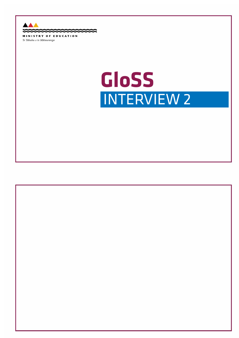▲  $\sim$ ≏ MINISTRY OF EDUCATION

Te Tāhuhu o te Mātauranga

# **GLoSS GloSS**INTERVIEW 2

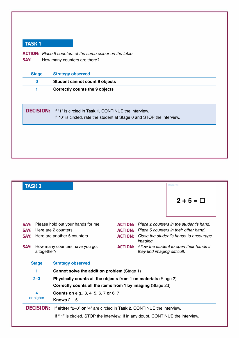**actIon:** *Place 9 counters of the same colour on the table.*

**SAY:** How many counters are there?

| <b>Stage</b> | <b>Strategy observed</b>              |
|--------------|---------------------------------------|
|              | <b>Student cannot count 9 objects</b> |
|              | <b>Correctly counts the 9 objects</b> |

**decISIon:** If "1" is circled in **Task 1**, CONTINUE the interview. If "0" is circled, rate the student at Stage 0 and STOP the interview.

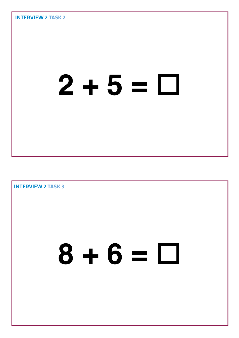

# **8 + 6 =**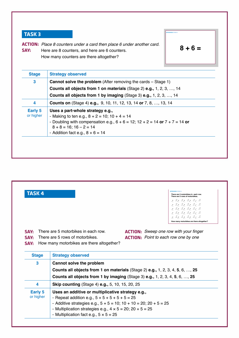| <b>SAY:</b>                 | <b>ACTION:</b> Place 8 counters under a card then place 6 under another card.<br>Here are 8 counters, and here are 6 counters.<br>How many counters are there altogether?                                                                          | $8 + 6 =$ |
|-----------------------------|----------------------------------------------------------------------------------------------------------------------------------------------------------------------------------------------------------------------------------------------------|-----------|
| <b>Stage</b>                | <b>Strategy observed</b>                                                                                                                                                                                                                           |           |
| 3                           | <b>Cannot solve the problem</b> (After removing the cards – Stage 1)<br><b>Counts all objects from 1 on materials (Stage 2) e.g., 1, 2, 3, , 14</b><br>Counts all objects from 1 by imaging (Stage 3) e.g., 1, 2, 3, , 14                          |           |
| 4                           | <b>Counts on</b> (Stage 4) <b>e.g.,</b> 9, 10, 11, 12, 13, 14 or 7, 8, , 13, 14                                                                                                                                                                    |           |
| <b>Early 5</b><br>or higher | Uses a part-whole strategy e.g.,<br>- Making to ten e.g., $8 + 2 = 10$ ; $10 + 4 = 14$<br>- Doubling with compensation e.g., $6 + 6 = 12$ ; $12 + 2 = 14$ or $7 + 7 = 14$ or<br>$8 + 8 = 16$ ; $16 - 2 = 14$<br>- Addition fact e.g., $8 + 6 = 14$ |           |

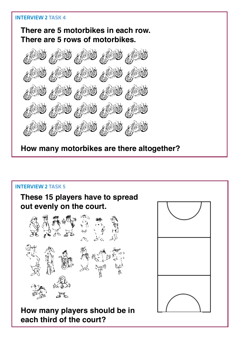**There are 5 motorbikes in each row. There are 5 rows of motorbikes.**



**How many motorbikes are there altogether?**

#### Interview 2 **Task 5**

# **These 15 players have to spread out evenly on the court.**



**How many players should be in each third of the court?**

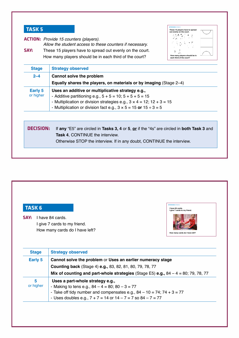| <b>Strategy observed</b>                                                                                                                                                                                                                                                                                             |                                                                                                                                              |
|----------------------------------------------------------------------------------------------------------------------------------------------------------------------------------------------------------------------------------------------------------------------------------------------------------------------|----------------------------------------------------------------------------------------------------------------------------------------------|
|                                                                                                                                                                                                                                                                                                                      |                                                                                                                                              |
| Cannot solve the problem                                                                                                                                                                                                                                                                                             |                                                                                                                                              |
|                                                                                                                                                                                                                                                                                                                      |                                                                                                                                              |
| <b>Early 5</b><br>Uses an additive or multiplicative strategy e.g.,<br>or higher<br>- Additive partitioning e.g., $5 + 5 = 10$ ; $5 + 5 + 5 = 15$<br>- Multiplication or division strategies e.g., $3 \times 4 = 12$ ; $12 + 3 = 15$<br>- Multiplication or division fact e.g., $3 \times 5 = 15$ or $15 \div 3 = 5$ |                                                                                                                                              |
| If any "E5" are circled in Tasks 3, 4 or 5, or if the "4s" are circled in both Task 3 and<br><b>Task 4, CONTINUE the interview.</b>                                                                                                                                                                                  |                                                                                                                                              |
|                                                                                                                                                                                                                                                                                                                      | Equally shares the players, on materials or by imaging (Stage 2-4)<br>Otherwise STOP the interview. If in any doubt, CONTINUE the interview. |

| <b>TASK 6</b>  |                                                                                                                                                                                                                                | <b>INTERVIEW 2 TASK 6</b><br>I have 84 cards.<br>I give 7 cards to my friend. |
|----------------|--------------------------------------------------------------------------------------------------------------------------------------------------------------------------------------------------------------------------------|-------------------------------------------------------------------------------|
| SAY:           | I have 84 cards.<br>I give 7 cards to my friend.<br>How many cards do I have left?                                                                                                                                             | How many cards do I have left?                                                |
|                | <b>Strategy observed</b>                                                                                                                                                                                                       |                                                                               |
| <b>Stage</b>   |                                                                                                                                                                                                                                |                                                                               |
| <b>Early 5</b> | Cannot solve the problem or Uses an earlier numeracy stage<br><b>Counting back</b> (Stage 4) <b>e.g.</b> , 83, 82, 81, 80, 79, 78, 77<br>Mix of counting and part-whole strategies (Stage E5) e.g., $84 - 4 = 80$ ; 79, 78, 77 |                                                                               |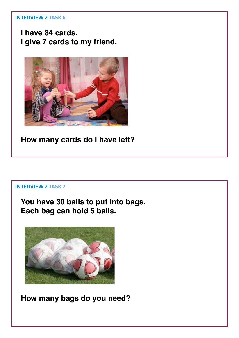**I have 84 cards. I give 7 cards to my friend.**



**How many cards do I have left?**

#### Interview 2 **Task 7**

**You have 30 balls to put into bags. Each bag can hold 5 balls.**



**How many bags do you need?**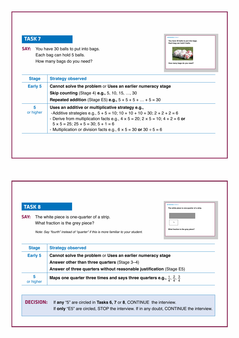

| <b>SAY:</b> You have 30 balls to put into bags. |
|-------------------------------------------------|
| Each bag can hold 5 balls.                      |
| How many bags do you need?                      |

| <b>Early 5</b> | Cannot solve the problem or Uses an earlier numeracy stage<br><b>Skip counting (Stage 4) e.g., 5, 10, 15, , 30</b><br><b>Repeated addition</b> (Stage E5) <b>e.g.</b> , $5 + 5 + 5 +  + 5 = 30$                                                                                                                                                                             |
|----------------|-----------------------------------------------------------------------------------------------------------------------------------------------------------------------------------------------------------------------------------------------------------------------------------------------------------------------------------------------------------------------------|
| 5<br>or higher | Uses an additive or multiplicative strategy e.g.,<br>-Additive strategies e.g., $5 + 5 = 10$ ; $10 + 10 + 10 = 30$ ; $2 + 2 + 2 = 6$<br>- Derive from multiplication facts e.g., $4 \times 5 = 20$ ; $2 \times 5 = 10$ ; $4 + 2 = 6$ or<br>$5 \times 5 = 25$ ; $25 + 5 = 30$ ; $5 + 1 = 6$<br>- Multiplication or division facts e.g., $6 \times 5 = 30$ or $30 \div 5 = 6$ |

| What fraction is the grey piece?<br>Note: Say "fourth" instead of "quarter" if this is more familiar to your student.<br><b>Strategy observed</b> | The white piece is one-quarter of a strip.<br>$\frac{1}{2}$<br>What fraction is the grey piece? | The white piece is one-quarter of a strip. |
|---------------------------------------------------------------------------------------------------------------------------------------------------|-------------------------------------------------------------------------------------------------|--------------------------------------------|
| <b>Stage</b>                                                                                                                                      |                                                                                                 |                                            |
| <b>Early 5</b>                                                                                                                                    |                                                                                                 |                                            |
|                                                                                                                                                   | Cannot solve the problem or Uses an earlier numeracy stage                                      |                                            |
| Answer other than three quarters (Stage 3-4)                                                                                                      |                                                                                                 |                                            |
| Answer of three quarters without reasonable justification (Stage E5)                                                                              |                                                                                                 |                                            |
| 5<br>Maps one quarter three times and says three quarters e.g., $\frac{1}{4}$ , $\frac{2}{4}$ , $\frac{3}{4}$<br>or higher                        |                                                                                                 |                                            |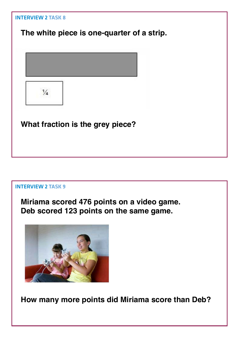

**Miriama scored 476 points on a video game. Deb scored 123 points on the same game.** 



**How many more points did Miriama score than Deb?**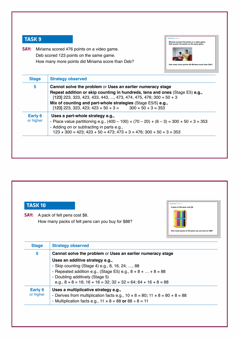

IntervIew 2 **taSk 9**

| <b>TASK10</b>        | <b>INTERVIEW 2 TASK 10</b><br>A pack of felt pens cost \$8.                                                                                                                                                                                                                                                                        |
|----------------------|------------------------------------------------------------------------------------------------------------------------------------------------------------------------------------------------------------------------------------------------------------------------------------------------------------------------------------|
| SAY:                 | A pack of felt pens cost \$8.<br>How many packs of felt pens can you buy for \$88?<br>How many packs of felt pens can you buy for \$88?                                                                                                                                                                                            |
| <b>Stage</b>         | <b>Strategy observed</b>                                                                                                                                                                                                                                                                                                           |
| 5                    | Cannot solve the problem or Uses an earlier numeracy stage<br>Uses an additive strategy e.g.,<br>- Skip counting (Stage 4) e.g., 8, 16, 24, , 88<br>- Repeated addition e.g., (Stage E5) e.g., $8 + 8 +  + 8 = 88$<br>- Doubling additively (Stage 5)<br>e.g., $8 + 8 = 16$ ; $16 + 16 = 32$ ; $32 + 32 = 64$ ; $64 + 16 + 8 = 88$ |
| Early 6<br>or higher | Uses a multiplicative strategy e.g.,<br>- Derives from multiplication facts e.g., $10 \times 8 = 80$ ; $11 \times 8 = 80 + 8 = 88$<br>- Multiplication facts e.g., $11 \times 8 = 88$ or $88 \div 8 = 11$                                                                                                                          |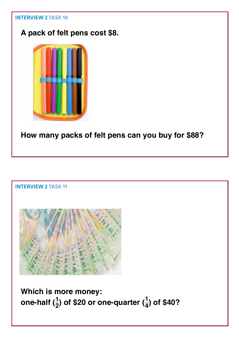



one-half  $(\frac{1}{2})$  of \$20 or one-quarter  $(\frac{1}{4})$ **) of \$40?**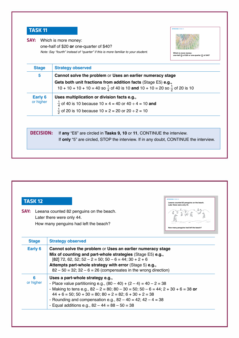**SAY:** Which is more money: one-half of \$20 **or** one-quarter of \$40? *Note: Say "fourth" instead of "quarter" if this is more familiar to your student.*



| <b>Stage</b>     | <b>Strategy observed</b>                                                                            |
|------------------|-----------------------------------------------------------------------------------------------------|
| 5                | Cannot solve the problem or Uses an earlier numeracy stage                                          |
|                  | Gets both unit fractions from addition facts (Stage E5) e.g.,                                       |
|                  | $10 + 10 + 10 + 10 = 40$ so $\frac{1}{4}$ of 40 is 10 and 10 + 10 = 20 so $\frac{1}{2}$ of 20 is 10 |
| Early 6          | Uses multiplication or division facts e.g.,                                                         |
| or higher        | $\frac{1}{4}$ of 40 is 10 because 10 x 4 = 40 or 40 ÷ 4 = 10 and                                    |
|                  | $\frac{1}{2}$ of 20 is 10 because 10 x 2 = 20 or 20 ÷ 2 = 10                                        |
|                  |                                                                                                     |
|                  |                                                                                                     |
| <b>DECISION:</b> | If any "E6" are circled in Tasks 9, 10 or 11, CONTINUE the interview.                               |
|                  | If only "5" are circled, STOP the interview. If in any doubt, CONTINUE the interview.               |

| <b>TASK 12</b> |                                                                                                                                                                                                                                                                                                                                                                                                        | <b>INTERVIEW 2 TASK 12</b><br>Leeana counted 82 penguins on the beach.<br>Later there were only 44. |  |
|----------------|--------------------------------------------------------------------------------------------------------------------------------------------------------------------------------------------------------------------------------------------------------------------------------------------------------------------------------------------------------------------------------------------------------|-----------------------------------------------------------------------------------------------------|--|
| SAY:           | Leeana counted 82 penguins on the beach.<br>Later there were only 44.<br>How many penguins had left the beach?                                                                                                                                                                                                                                                                                         | How many penguins had left the beach?                                                               |  |
| <b>Stage</b>   | <b>Strategy observed</b>                                                                                                                                                                                                                                                                                                                                                                               |                                                                                                     |  |
| <b>Early 6</b> | Cannot solve the problem or Uses an earlier numeracy stage<br>Mix of counting and part-whole strategies (Stage E5) e.g.,<br>$[82]$ 72, 62, 52; 52 - 2 = 50; 50 - 6 = 44; 30 + 2 + 6<br>Attempts part-whole strategy with error (Stage 5) e.g.,<br>$82 - 50 = 32$ ; $32 - 6 = 26$ (compensates in the wrong direction)                                                                                  |                                                                                                     |  |
| 6<br>or higher | Uses a part-whole strategy e.g.,<br>- Place value partitioning e.g., $(80 - 40) + (2 - 4) = 40 - 2 = 38$<br>- Making to tens e.g., $82 - 2 = 80$ ; $80 - 30 = 50$ ; $50 - 6 = 44$ ; $2 + 30 + 6 = 38$ or<br>$44 + 6 = 50$ ; $50 + 30 = 80$ ; $80 + 2 = 82$ ; $6 + 30 + 2 = 38$<br>- Rounding and compensation e.g., $82 - 40 = 42$ ; $42 - 4 = 38$<br>- Equal additions e.g., $82 - 44 = 88 - 50 = 38$ |                                                                                                     |  |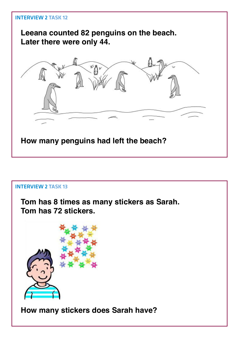

**Tom has 8 times as many stickers as Sarah. Tom has 72 stickers.** 



**How many stickers does Sarah have?**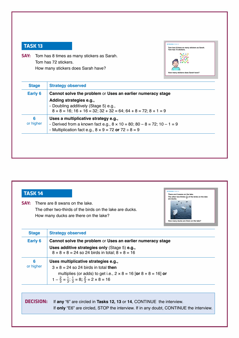

**Say:** Tom has 8 times as many stickers as Sarah. Tom has 72 stickers. How many stickers does Sarah have?

| Early 6        | Cannot solve the problem or Uses an earlier numeracy stage                          |
|----------------|-------------------------------------------------------------------------------------|
|                | Adding strategies e.g.,                                                             |
|                | - Doubling additively (Stage 5) e.g.,                                               |
|                | $8 + 8 = 16$ ; $16 + 16 = 32$ ; $32 + 32 = 64$ ; $64 + 8 = 72$ ; $8 + 1 = 9$        |
| 6<br>or higher | Uses a multiplicative strategy e.g.,                                                |
|                | - Derived from a known fact e.g., $8 \times 10 = 80$ ; $80 - 8 = 72$ ; $10 - 1 = 9$ |
|                | - Multiplication fact e.g., $8 \times 9 = 72$ or $72 \div 8 = 9$                    |
|                |                                                                                     |
|                |                                                                                     |

| SAV:             | There are 8 swans on the lake.<br>The other two-thirds of the birds on the lake are ducks.<br>How many ducks are there on the lake?<br>How many ducks are there on the lake? |
|------------------|------------------------------------------------------------------------------------------------------------------------------------------------------------------------------|
| <b>Stage</b>     | <b>Strategy observed</b>                                                                                                                                                     |
| Early 6          | Cannot solve the problem or Uses an earlier numeracy stage                                                                                                                   |
|                  | Uses additive strategies only (Stage 5) e.g.,<br>$8 + 8 + 8 = 24$ so 24 birds in total; $8 + 8 = 16$                                                                         |
| 6<br>or higher   | Uses multiplicative strategies e.g.,                                                                                                                                         |
|                  | $3 \times 8 = 24$ so 24 birds in total then                                                                                                                                  |
|                  | multiplies (or adds) to get i.e., $2 \times 8 = 16$ [or $8 + 8 = 16$ ] or                                                                                                    |
|                  | $1-\frac{2}{3}=\frac{1}{3}; \frac{1}{3}=8; \frac{2}{3}=2\times8=16$                                                                                                          |
| <b>DECISION:</b> | If any "6" are circled in Tasks 12, 13 or 14, CONTINUE the interview.<br>If only "E6" are circled, STOP the interview. If in any doubt, CONTINUE the interview.              |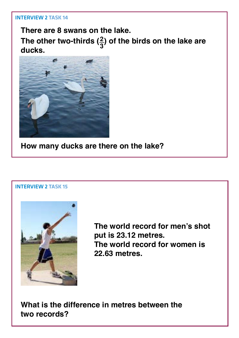**There are 8 swans on the lake. The other two-thirds (<sup>3</sup> <sup>2</sup>) of the birds on the lake are ducks.**



**How many ducks are there on the lake?**

#### Interview 2 **Task 15**



**The world record for men's shot put is 23.12 metres. The world record for women is 22.63 metres.**

**What is the difference in metres between the two records?**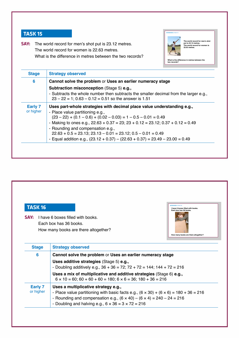**SAY:** The world record for men's shot put is 23.12 metres. The world record for women is 22.63 metres. What is the difference in metres between the two records?



**The world record for men's shot put is 23.12 metres. The world record for women is 22.63 metres.**

**Metres between two records?**

| <b>Stage</b> | <b>Strategy observed</b>                                                                                                                                                                                |  |
|--------------|---------------------------------------------------------------------------------------------------------------------------------------------------------------------------------------------------------|--|
| 6            | Cannot solve the problem or Uses an earlier numeracy stage                                                                                                                                              |  |
|              | <b>Subtraction misconception (Stage 5) e.g.,</b><br>- Subtracts the whole number then subtracts the smaller decimal from the larger e.g.,<br>$23 - 22 = 1$ ; $0.63 - 0.12 = 0.51$ so the answer is 1.51 |  |
| Early 7      | Uses part-whole strategies with decimal place value understanding e.g.,                                                                                                                                 |  |
| or higher    | - Place value partitioning e.g.,                                                                                                                                                                        |  |
|              | $(23 - 22) + (0.1 - 0.6) + (0.02 - 0.03) = 1 - 0.5 - 0.01 = 0.49$                                                                                                                                       |  |
|              | - Making to ones e.g., $22.63 + 0.37 = 23$ ; $23 + 0.12 = 23.12$ ; $0.37 + 0.12 = 0.49$                                                                                                                 |  |
|              | - Rounding and compensation e.g.,                                                                                                                                                                       |  |
|              | $22.63 + 0.5 = 23.13$ ; $23.13 - 0.01 = 23.12$ ; $0.5 - 0.01 = 0.49$                                                                                                                                    |  |
|              | - Equal addition e.g., $(23.12 + 0.37) - (22.63 + 0.37) = 23.49 - 23.00 = 0.49$                                                                                                                         |  |



|                | 0 x 10 = 00, 00 1 00 1 00 = 100, 0 x 0 = 00, 100 1 00 = 210                                       |
|----------------|---------------------------------------------------------------------------------------------------|
| <b>Early 7</b> | Uses a multiplicative strategy e.g.,                                                              |
| or higher      | - Place value partitioning with basic facts e.g., $(6 \times 30) + (6 \times 6) = 180 + 36 = 216$ |
|                | - Rounding and compensation e.g., $(6 \times 40) - (6 \times 4) = 240 - 24 = 216$                 |
|                | - Doubling and halving e.g., $6 \times 36 = 3 \times 72 = 216$                                    |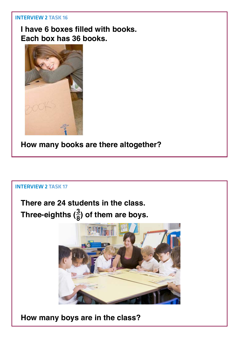**I have 6 boxes filled with books. Each box has 36 books.**



**How many books are there altogether?**

#### Interview 2 **Task 17**

**There are 24 students in the class.** Three-eighths  $(\frac{3}{8})$  of them are boys.



**How many boys are in the class?**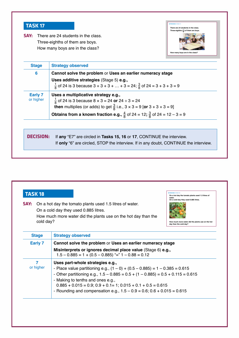| SAY:                        | There are 24 students in the class.<br>Three-eighths of them are boys.<br>How many boys are in the class?                                                                                                                                                                                                                                      | How many boys are in the class? |
|-----------------------------|------------------------------------------------------------------------------------------------------------------------------------------------------------------------------------------------------------------------------------------------------------------------------------------------------------------------------------------------|---------------------------------|
| <b>Stage</b>                | <b>Strategy observed</b>                                                                                                                                                                                                                                                                                                                       |                                 |
| 6                           | Cannot solve the problem or Uses an earlier numeracy stage<br>Uses additive strategies (Stage 5) e.g.,<br>$\frac{1}{8}$ of 24 is 3 because 3 + 3 + 3 +  + 3 = 24; $\frac{3}{8}$ of 24 = 3 + 3 + 3 = 9                                                                                                                                          |                                 |
| <b>Early 7</b><br>or higher | Uses a multiplicative strategy e.g.,<br>$\frac{1}{8}$ of 24 is 3 because 8 $\times$ 3 = 24 or 24 ÷ 3 = 24<br><b>then</b> multiplies (or adds) to get $\frac{3}{8}$ i.e., $3 \times 3 = 9$ [or $3 + 3 + 3 = 9$ ]<br><b>Obtains from a known fraction e.g., <math>\frac{4}{8}</math> of 24 = 12; <math>\frac{3}{8}</math> of 24 = 12 - 3 = 9</b> |                                 |
|                             |                                                                                                                                                                                                                                                                                                                                                |                                 |
| <b>DECISION:</b>            | If any "E7" are circled in Tasks 15, 16 or 17, CONTINUE the interview.<br>If only "6" are circled, STOP the interview. If in any doubt, CONTINUE the interview.                                                                                                                                                                                |                                 |

| SAY:<br>On a hot day the tomato plants used 1.5 litres of water.<br>On a cold day they used 0.885 litres.<br>How much more water did the plants use on the hot day than the<br>cold day? |                                                                                                                                                                                                                                                                                                                                                                                                     | water.<br>On a cold day they used 0.885 litres.<br>How much more water did the plants use on the hot<br>day than the cold day? |
|------------------------------------------------------------------------------------------------------------------------------------------------------------------------------------------|-----------------------------------------------------------------------------------------------------------------------------------------------------------------------------------------------------------------------------------------------------------------------------------------------------------------------------------------------------------------------------------------------------|--------------------------------------------------------------------------------------------------------------------------------|
| <b>Stage</b>                                                                                                                                                                             | <b>Strategy observed</b>                                                                                                                                                                                                                                                                                                                                                                            |                                                                                                                                |
| <b>Early 7</b>                                                                                                                                                                           | Cannot solve the problem or Uses an earlier numeracy stage                                                                                                                                                                                                                                                                                                                                          |                                                                                                                                |
|                                                                                                                                                                                          | Misinterprets or ignores decimal place value (Stage 6) e.g.,<br>$1.5 - 0.885 = 1 + (0.5 - 0.885)$ "=" $1 - 0.88 = 0.12$                                                                                                                                                                                                                                                                             |                                                                                                                                |
| 7<br>or higher                                                                                                                                                                           | Uses part-whole strategies e.g.,<br>- Place value partitioning e.g., $(1-0) + (0.5 - 0.885) = 1 - 0.385 = 0.615$<br>- Other partitioning e.g., $1.5 - 0.885 = 0.5 + (1 - 0.885) = 0.5 + 0.115 = 0.615$<br>- Making to tenths and ones e.g.,<br>$0.885 + 0.015 = 0.9$ ; $0.9 + 0.1 = 1$ ; $0.015 + 0.1 + 0.5 = 0.615$<br>- Rounding and compensation e.g., $1.5 - 0.9 = 0.6$ ; $0.6 + 0.015 = 0.615$ |                                                                                                                                |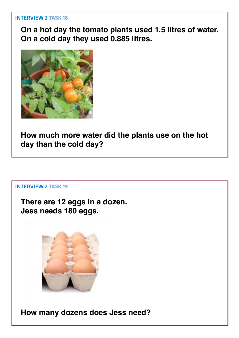**On a hot day the tomato plants used 1.5 litres of water. On a cold day they used 0.885 litres.**



**How much more water did the plants use on the hot day than the cold day?** 

#### Interview 2 **Task 19**

**There are 12 eggs in a dozen. Jess needs 180 eggs.**



**How many dozens does Jess need?**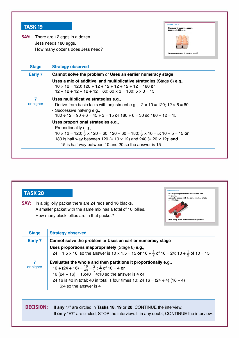**SAY:** There are 12 eggs in a dozen. Jess needs 180 eggs. How many dozens does Jess need?



| <b>Stage</b>   | <b>Strategy observed</b>                                                                                                                                                                                                                                                                                                              |  |
|----------------|---------------------------------------------------------------------------------------------------------------------------------------------------------------------------------------------------------------------------------------------------------------------------------------------------------------------------------------|--|
| <b>Early 7</b> | Cannot solve the problem or Uses an earlier numeracy stage                                                                                                                                                                                                                                                                            |  |
|                | Uses a mix of additive and multiplicative strategies (Stage 6) e.g.,<br>$10 \times 12 = 120$ ; $120 + 12 + 12 + 12 + 12 + 12 = 180$ or<br>$12 + 12 + 12 + 12 + 12 = 60$ ; $60 \times 3 = 180$ ; $5 \times 3 = 15$                                                                                                                     |  |
| 7<br>or higher | Uses multiplicative strategies e.g.,<br>- Derive from basic facts with adjustment e.g., $12 \times 10 = 120$ ; $12 \times 5 = 60$<br>- Successive halving e.g.,<br>$180 \div 12 = 90 \div 6 = 45 \div 3 = 15$ or $180 \div 6 = 30$ so $180 \div 12 = 15$                                                                              |  |
|                | Uses proportional strategies e.g.,<br>- Proportionality e.g.,<br>$10 \times 12 = 120$ ; $\frac{1}{2} \times 120 = 60$ ; $120 + 60 = 180$ ; $\frac{1}{2} \times 10 = 5$ ; $10 + 5 = 15$ or<br>180 is half way between 120 (= $10 \times 12$ ) and 240 (= $20 \times 12$ ); and<br>15 is half way between 10 and 20 so the answer is 15 |  |

| SAY:           | In a big lolly packet there are 24 reds and 16 blacks.<br>A smaller packet with the same mix has a total of 10 lollies.<br>How many black lollies are in that packet?                                                                                                                                                                | A smaller packet with the same mix has a total<br>of 10 lollies.<br>How many black lollies are in that packet? |
|----------------|--------------------------------------------------------------------------------------------------------------------------------------------------------------------------------------------------------------------------------------------------------------------------------------------------------------------------------------|----------------------------------------------------------------------------------------------------------------|
| <b>Stage</b>   | <b>Strategy observed</b>                                                                                                                                                                                                                                                                                                             |                                                                                                                |
| <b>Early 7</b> | Cannot solve the problem or Uses an earlier numeracy stage<br>Uses proportions inappropriately (Stage 6) e.g.,<br>24 = 1.5 x 16, so the answer is 10 x 1.5 = 15 or 16 + $\frac{1}{2}$ of 16 = 24; 10 + $\frac{1}{2}$ of 10 = 15                                                                                                      |                                                                                                                |
| 7<br>or higher | Evaluates the whole and then partitions it proportionally e.g.,<br>$16 \div (24 + 16) = \frac{16}{40} = \frac{2}{5}$ ; $\frac{2}{5}$ of 10 = 4 or<br>$16:(24 + 16) = 16:40 = 4:10$ so the answer is 4 or<br>24:16 is 40 in total; 40 in total is four times 10; 24:16 = $(24 \div 4)$ : (16 $\div 4$ )<br>$= 6.4$ so the answer is 4 |                                                                                                                |

**decISIon:** If **any** "7" are circled in **Tasks 18, 19** or **20**, CONTINUE the interview. If **only** "E7" are circled, STOP the interview. If in any doubt, CONTINUE the interview.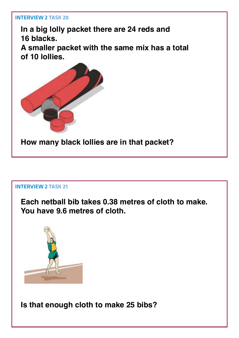**In a big lolly packet there are 24 reds and 16 blacks.**

**A smaller packet with the same mix has a total of 10 lollies.**



#### Interview 2 **Task 21**

**Each netball bib takes 0.38 metres of cloth to make. You have 9.6 metres of cloth.** 



**Is that enough cloth to make 25 bibs?**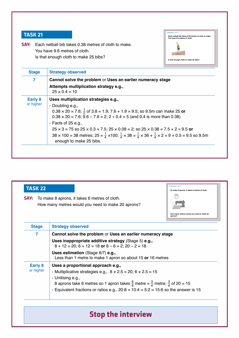**Say:** Each netball bib takes 0.38 metres of cloth to make. You have 9.6 metres of cloth. Is that enough cloth to make 25 bibs?



| 7                           | Cannot solve the problem or Uses an earlier numeracy stage<br>Attempts multiplication strategy e.g.,<br>$25 \times 0.4 = 10$                                                                                                                                                                                                                                                                                                                                                                                                                                                          |
|-----------------------------|---------------------------------------------------------------------------------------------------------------------------------------------------------------------------------------------------------------------------------------------------------------------------------------------------------------------------------------------------------------------------------------------------------------------------------------------------------------------------------------------------------------------------------------------------------------------------------------|
| <b>Early 8</b><br>or higher | Uses multiplication strategies e.g.,<br>- Doubling e.g.,<br>$0.38 \times 20 = 7.6$ ; $\frac{1}{2}$ of 3.8 = 1.9; 7.6 + 1.9 = 9.5; so 9.5m can make 25 or<br>$0.38 \times 20 = 7.6$ ; $9.6 - 7.6 = 2$ ; $2 \div 0.4 = 5$ (and 0.4 is more than 0.38)<br>- Facts of $25$ e.g.,<br>$25 \times 3 = 75$ so $25 \times 0.3 = 7.5$ ; $25 \times 0.08 = 2$ ; so $25 \times 0.38 = 7.5 + 2 = 9.5$ or<br>$38 \times 100 = 38$ metres; $25 = \frac{1}{4} \times 100$ ; $\frac{1}{4} \times 38 = \frac{1}{4} \times 36 + \frac{1}{4} \times 2 = 9 + 0.5 = 9.5$ so 9.5m<br>enough to make 25 bibs. |

| <b>TASK 22</b><br>SAY:      | <b>INTERVIEW 2 TASK 22</b><br>To make 8 aprons, it takes 6 metres of cloth.<br>To make 8 aprons, it takes 6 metres of cloth.<br>How many metres would you need to make 20 aprons?<br>How many metres would you need to make 20<br>aprons?                                                                                                      |
|-----------------------------|------------------------------------------------------------------------------------------------------------------------------------------------------------------------------------------------------------------------------------------------------------------------------------------------------------------------------------------------|
| <b>Stage</b>                | <b>Strategy observed</b>                                                                                                                                                                                                                                                                                                                       |
| 7                           | Cannot solve the problem or Uses an earlier numeracy stage                                                                                                                                                                                                                                                                                     |
|                             | Uses inappropriate additive strategy (Stage 5) e.g.,<br>$8 + 12 = 20$ ; $6 + 12 = 18$ or $8 - 6 = 2$ ; $20 - 2 = 18$                                                                                                                                                                                                                           |
|                             | Uses estimation (Stage 6/7) e.g.,<br>Less than 1 metre to make 1 apron so about 15 or 16 metres                                                                                                                                                                                                                                                |
| <b>Early 8</b><br>or higher | Uses a proportional approach e.g.,<br>- Multiplicative strategies e.g., $8 \times 2.5 = 20$ ; $6 \times 2.5 = 15$<br>- Unitising e.g.,<br>8 aprons take 6 metres so 1 apron takes $\frac{6}{8}$ metre = $\frac{3}{4}$ metre; $\frac{3}{4}$ of 20 = 15<br>- Equivalent fractions or ratios e.g., $20.8 = 10.4 = 5.2 = 15.6$ so the answer is 15 |

# **Stop the interview**